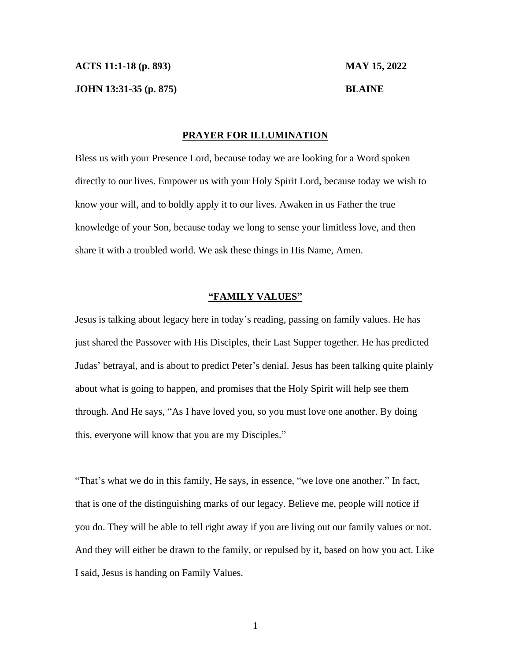**JOHN 13:31-35 (p. 875) BLAINE**

## **PRAYER FOR ILLUMINATION**

Bless us with your Presence Lord, because today we are looking for a Word spoken directly to our lives. Empower us with your Holy Spirit Lord, because today we wish to know your will, and to boldly apply it to our lives. Awaken in us Father the true knowledge of your Son, because today we long to sense your limitless love, and then share it with a troubled world. We ask these things in His Name, Amen.

## **"FAMILY VALUES"**

Jesus is talking about legacy here in today's reading, passing on family values. He has just shared the Passover with His Disciples, their Last Supper together. He has predicted Judas' betrayal, and is about to predict Peter's denial. Jesus has been talking quite plainly about what is going to happen, and promises that the Holy Spirit will help see them through. And He says, "As I have loved you, so you must love one another. By doing this, everyone will know that you are my Disciples."

"That's what we do in this family, He says, in essence, "we love one another." In fact, that is one of the distinguishing marks of our legacy. Believe me, people will notice if you do. They will be able to tell right away if you are living out our family values or not. And they will either be drawn to the family, or repulsed by it, based on how you act. Like I said, Jesus is handing on Family Values.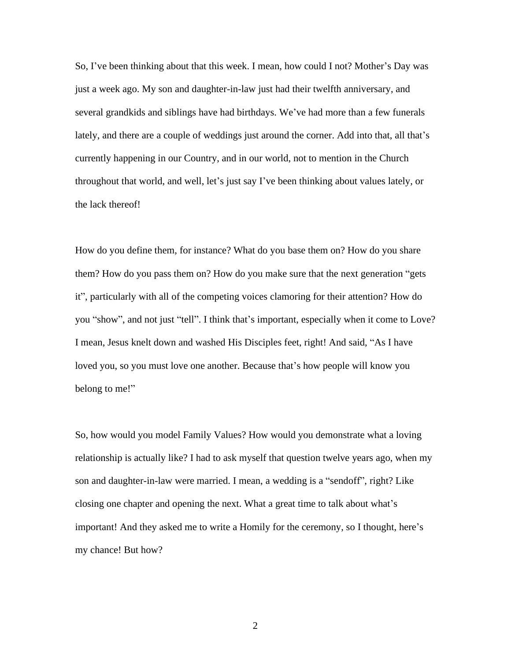So, I've been thinking about that this week. I mean, how could I not? Mother's Day was just a week ago. My son and daughter-in-law just had their twelfth anniversary, and several grandkids and siblings have had birthdays. We've had more than a few funerals lately, and there are a couple of weddings just around the corner. Add into that, all that's currently happening in our Country, and in our world, not to mention in the Church throughout that world, and well, let's just say I've been thinking about values lately, or the lack thereof!

How do you define them, for instance? What do you base them on? How do you share them? How do you pass them on? How do you make sure that the next generation "gets it", particularly with all of the competing voices clamoring for their attention? How do you "show", and not just "tell". I think that's important, especially when it come to Love? I mean, Jesus knelt down and washed His Disciples feet, right! And said, "As I have loved you, so you must love one another. Because that's how people will know you belong to me!"

So, how would you model Family Values? How would you demonstrate what a loving relationship is actually like? I had to ask myself that question twelve years ago, when my son and daughter-in-law were married. I mean, a wedding is a "sendoff", right? Like closing one chapter and opening the next. What a great time to talk about what's important! And they asked me to write a Homily for the ceremony, so I thought, here's my chance! But how?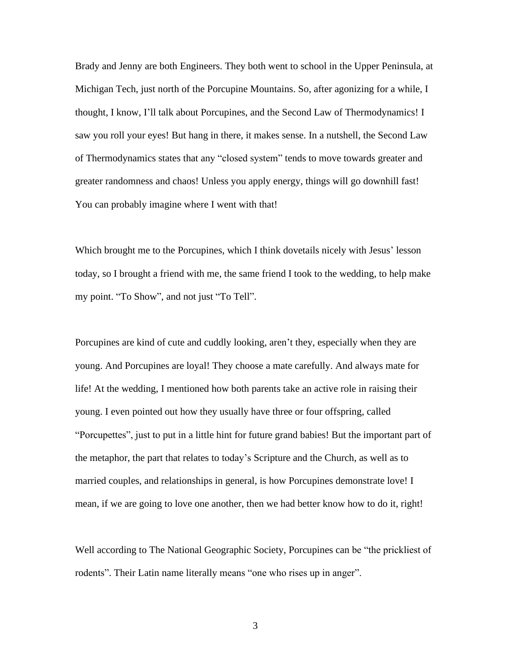Brady and Jenny are both Engineers. They both went to school in the Upper Peninsula, at Michigan Tech, just north of the Porcupine Mountains. So, after agonizing for a while, I thought, I know, I'll talk about Porcupines, and the Second Law of Thermodynamics! I saw you roll your eyes! But hang in there, it makes sense. In a nutshell, the Second Law of Thermodynamics states that any "closed system" tends to move towards greater and greater randomness and chaos! Unless you apply energy, things will go downhill fast! You can probably imagine where I went with that!

Which brought me to the Porcupines, which I think dovetails nicely with Jesus' lesson today, so I brought a friend with me, the same friend I took to the wedding, to help make my point. "To Show", and not just "To Tell".

Porcupines are kind of cute and cuddly looking, aren't they, especially when they are young. And Porcupines are loyal! They choose a mate carefully. And always mate for life! At the wedding, I mentioned how both parents take an active role in raising their young. I even pointed out how they usually have three or four offspring, called "Porcupettes", just to put in a little hint for future grand babies! But the important part of the metaphor, the part that relates to today's Scripture and the Church, as well as to married couples, and relationships in general, is how Porcupines demonstrate love! I mean, if we are going to love one another, then we had better know how to do it, right!

Well according to The National Geographic Society, Porcupines can be "the prickliest of rodents". Their Latin name literally means "one who rises up in anger".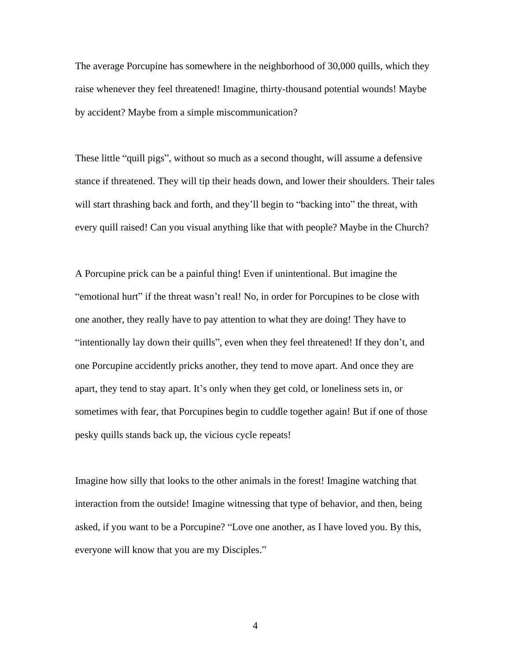The average Porcupine has somewhere in the neighborhood of 30,000 quills, which they raise whenever they feel threatened! Imagine, thirty-thousand potential wounds! Maybe by accident? Maybe from a simple miscommunication?

These little "quill pigs", without so much as a second thought, will assume a defensive stance if threatened. They will tip their heads down, and lower their shoulders. Their tales will start thrashing back and forth, and they'll begin to "backing into" the threat, with every quill raised! Can you visual anything like that with people? Maybe in the Church?

A Porcupine prick can be a painful thing! Even if unintentional. But imagine the "emotional hurt" if the threat wasn't real! No, in order for Porcupines to be close with one another, they really have to pay attention to what they are doing! They have to "intentionally lay down their quills", even when they feel threatened! If they don't, and one Porcupine accidently pricks another, they tend to move apart. And once they are apart, they tend to stay apart. It's only when they get cold, or loneliness sets in, or sometimes with fear, that Porcupines begin to cuddle together again! But if one of those pesky quills stands back up, the vicious cycle repeats!

Imagine how silly that looks to the other animals in the forest! Imagine watching that interaction from the outside! Imagine witnessing that type of behavior, and then, being asked, if you want to be a Porcupine? "Love one another, as I have loved you. By this, everyone will know that you are my Disciples."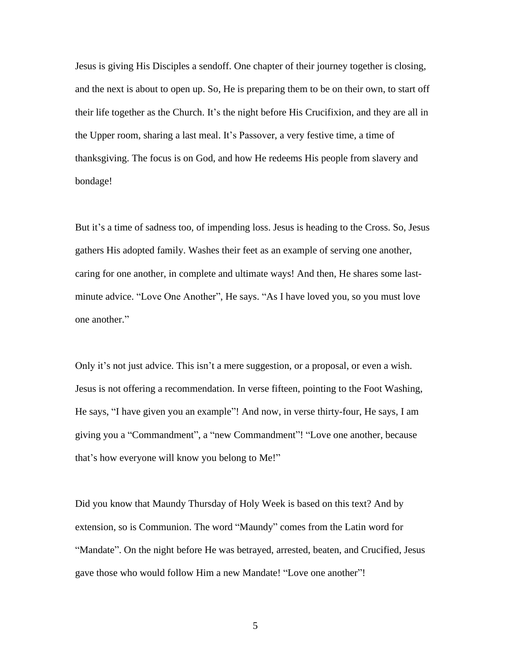Jesus is giving His Disciples a sendoff. One chapter of their journey together is closing, and the next is about to open up. So, He is preparing them to be on their own, to start off their life together as the Church. It's the night before His Crucifixion, and they are all in the Upper room, sharing a last meal. It's Passover, a very festive time, a time of thanksgiving. The focus is on God, and how He redeems His people from slavery and bondage!

But it's a time of sadness too, of impending loss. Jesus is heading to the Cross. So, Jesus gathers His adopted family. Washes their feet as an example of serving one another, caring for one another, in complete and ultimate ways! And then, He shares some lastminute advice. "Love One Another", He says. "As I have loved you, so you must love one another."

Only it's not just advice. This isn't a mere suggestion, or a proposal, or even a wish. Jesus is not offering a recommendation. In verse fifteen, pointing to the Foot Washing, He says, "I have given you an example"! And now, in verse thirty-four, He says, I am giving you a "Commandment", a "new Commandment"! "Love one another, because that's how everyone will know you belong to Me!"

Did you know that Maundy Thursday of Holy Week is based on this text? And by extension, so is Communion. The word "Maundy" comes from the Latin word for "Mandate". On the night before He was betrayed, arrested, beaten, and Crucified, Jesus gave those who would follow Him a new Mandate! "Love one another"!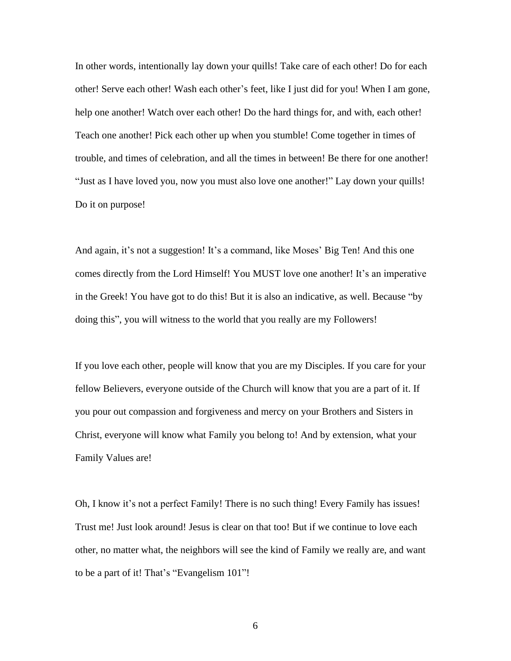In other words, intentionally lay down your quills! Take care of each other! Do for each other! Serve each other! Wash each other's feet, like I just did for you! When I am gone, help one another! Watch over each other! Do the hard things for, and with, each other! Teach one another! Pick each other up when you stumble! Come together in times of trouble, and times of celebration, and all the times in between! Be there for one another! "Just as I have loved you, now you must also love one another!" Lay down your quills! Do it on purpose!

And again, it's not a suggestion! It's a command, like Moses' Big Ten! And this one comes directly from the Lord Himself! You MUST love one another! It's an imperative in the Greek! You have got to do this! But it is also an indicative, as well. Because "by doing this", you will witness to the world that you really are my Followers!

If you love each other, people will know that you are my Disciples. If you care for your fellow Believers, everyone outside of the Church will know that you are a part of it. If you pour out compassion and forgiveness and mercy on your Brothers and Sisters in Christ, everyone will know what Family you belong to! And by extension, what your Family Values are!

Oh, I know it's not a perfect Family! There is no such thing! Every Family has issues! Trust me! Just look around! Jesus is clear on that too! But if we continue to love each other, no matter what, the neighbors will see the kind of Family we really are, and want to be a part of it! That's "Evangelism 101"!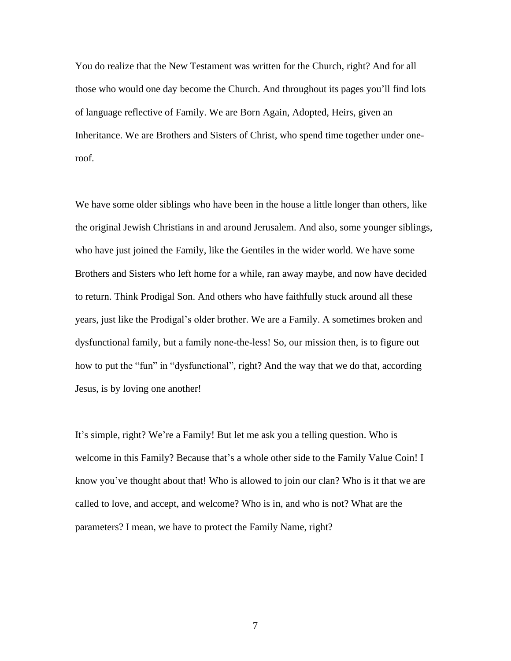You do realize that the New Testament was written for the Church, right? And for all those who would one day become the Church. And throughout its pages you'll find lots of language reflective of Family. We are Born Again, Adopted, Heirs, given an Inheritance. We are Brothers and Sisters of Christ, who spend time together under oneroof.

We have some older siblings who have been in the house a little longer than others, like the original Jewish Christians in and around Jerusalem. And also, some younger siblings, who have just joined the Family, like the Gentiles in the wider world. We have some Brothers and Sisters who left home for a while, ran away maybe, and now have decided to return. Think Prodigal Son. And others who have faithfully stuck around all these years, just like the Prodigal's older brother. We are a Family. A sometimes broken and dysfunctional family, but a family none-the-less! So, our mission then, is to figure out how to put the "fun" in "dysfunctional", right? And the way that we do that, according Jesus, is by loving one another!

It's simple, right? We're a Family! But let me ask you a telling question. Who is welcome in this Family? Because that's a whole other side to the Family Value Coin! I know you've thought about that! Who is allowed to join our clan? Who is it that we are called to love, and accept, and welcome? Who is in, and who is not? What are the parameters? I mean, we have to protect the Family Name, right?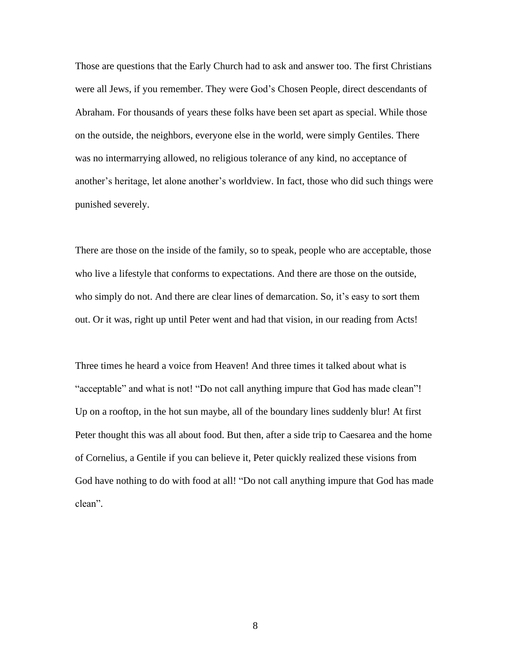Those are questions that the Early Church had to ask and answer too. The first Christians were all Jews, if you remember. They were God's Chosen People, direct descendants of Abraham. For thousands of years these folks have been set apart as special. While those on the outside, the neighbors, everyone else in the world, were simply Gentiles. There was no intermarrying allowed, no religious tolerance of any kind, no acceptance of another's heritage, let alone another's worldview. In fact, those who did such things were punished severely.

There are those on the inside of the family, so to speak, people who are acceptable, those who live a lifestyle that conforms to expectations. And there are those on the outside, who simply do not. And there are clear lines of demarcation. So, it's easy to sort them out. Or it was, right up until Peter went and had that vision, in our reading from Acts!

Three times he heard a voice from Heaven! And three times it talked about what is "acceptable" and what is not! "Do not call anything impure that God has made clean"! Up on a rooftop, in the hot sun maybe, all of the boundary lines suddenly blur! At first Peter thought this was all about food. But then, after a side trip to Caesarea and the home of Cornelius, a Gentile if you can believe it, Peter quickly realized these visions from God have nothing to do with food at all! "Do not call anything impure that God has made clean".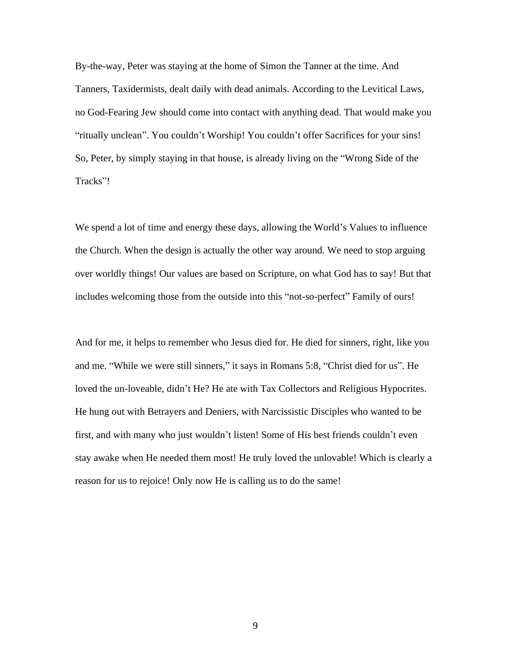By-the-way, Peter was staying at the home of Simon the Tanner at the time. And Tanners, Taxidermists, dealt daily with dead animals. According to the Levitical Laws, no God-Fearing Jew should come into contact with anything dead. That would make you "ritually unclean". You couldn't Worship! You couldn't offer Sacrifices for your sins! So, Peter, by simply staying in that house, is already living on the "Wrong Side of the Tracks"!

We spend a lot of time and energy these days, allowing the World's Values to influence the Church. When the design is actually the other way around. We need to stop arguing over worldly things! Our values are based on Scripture, on what God has to say! But that includes welcoming those from the outside into this "not-so-perfect" Family of ours!

And for me, it helps to remember who Jesus died for. He died for sinners, right, like you and me. "While we were still sinners," it says in Romans 5:8, "Christ died for us". He loved the un-loveable, didn't He? He ate with Tax Collectors and Religious Hypocrites. He hung out with Betrayers and Deniers, with Narcissistic Disciples who wanted to be first, and with many who just wouldn't listen! Some of His best friends couldn't even stay awake when He needed them most! He truly loved the unlovable! Which is clearly a reason for us to rejoice! Only now He is calling us to do the same!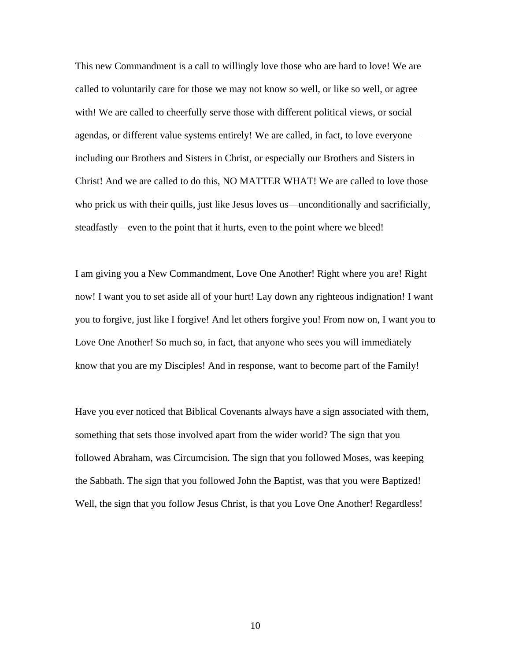This new Commandment is a call to willingly love those who are hard to love! We are called to voluntarily care for those we may not know so well, or like so well, or agree with! We are called to cheerfully serve those with different political views, or social agendas, or different value systems entirely! We are called, in fact, to love everyone including our Brothers and Sisters in Christ, or especially our Brothers and Sisters in Christ! And we are called to do this, NO MATTER WHAT! We are called to love those who prick us with their quills, just like Jesus loves us—unconditionally and sacrificially, steadfastly—even to the point that it hurts, even to the point where we bleed!

I am giving you a New Commandment, Love One Another! Right where you are! Right now! I want you to set aside all of your hurt! Lay down any righteous indignation! I want you to forgive, just like I forgive! And let others forgive you! From now on, I want you to Love One Another! So much so, in fact, that anyone who sees you will immediately know that you are my Disciples! And in response, want to become part of the Family!

Have you ever noticed that Biblical Covenants always have a sign associated with them, something that sets those involved apart from the wider world? The sign that you followed Abraham, was Circumcision. The sign that you followed Moses, was keeping the Sabbath. The sign that you followed John the Baptist, was that you were Baptized! Well, the sign that you follow Jesus Christ, is that you Love One Another! Regardless!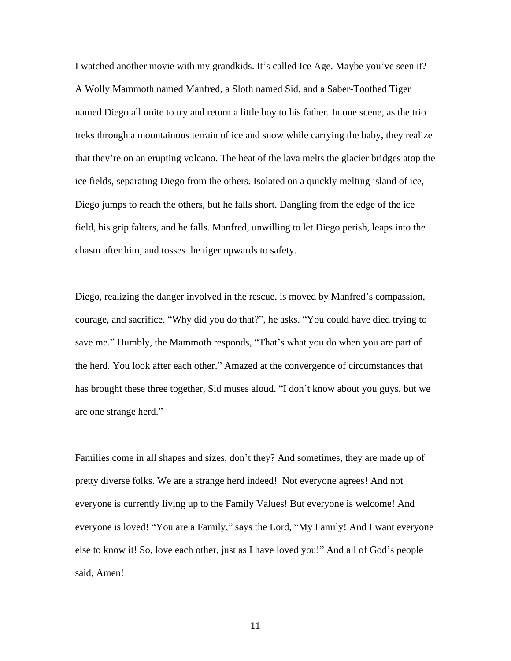I watched another movie with my grandkids. It's called Ice Age. Maybe you've seen it? A Wolly Mammoth named Manfred, a Sloth named Sid, and a Saber-Toothed Tiger named Diego all unite to try and return a little boy to his father. In one scene, as the trio treks through a mountainous terrain of ice and snow while carrying the baby, they realize that they're on an erupting volcano. The heat of the lava melts the glacier bridges atop the ice fields, separating Diego from the others. Isolated on a quickly melting island of ice, Diego jumps to reach the others, but he falls short. Dangling from the edge of the ice field, his grip falters, and he falls. Manfred, unwilling to let Diego perish, leaps into the chasm after him, and tosses the tiger upwards to safety.

Diego, realizing the danger involved in the rescue, is moved by Manfred's compassion, courage, and sacrifice. "Why did you do that?", he asks. "You could have died trying to save me." Humbly, the Mammoth responds, "That's what you do when you are part of the herd. You look after each other." Amazed at the convergence of circumstances that has brought these three together, Sid muses aloud. "I don't know about you guys, but we are one strange herd."

Families come in all shapes and sizes, don't they? And sometimes, they are made up of pretty diverse folks. We are a strange herd indeed! Not everyone agrees! And not everyone is currently living up to the Family Values! But everyone is welcome! And everyone is loved! "You are a Family," says the Lord, "My Family! And I want everyone else to know it! So, love each other, just as I have loved you!" And all of God's people said, Amen!